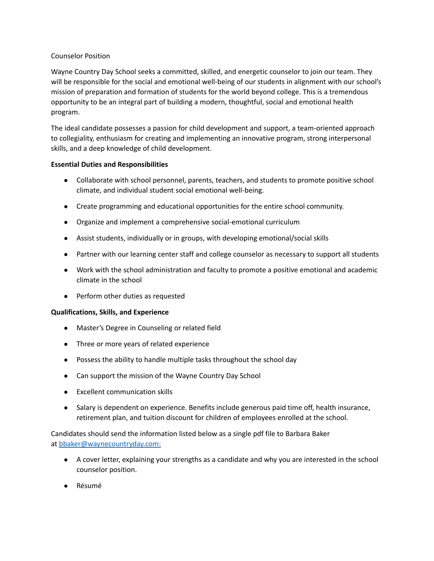## Counselor Position

Wayne Country Day School seeks a committed, skilled, and energetic counselor to join our team. They will be responsible for the social and emotional well-being of our students in alignment with our school's mission of preparation and formation of students for the world beyond college. This is a tremendous opportunity to be an integral part of building a modern, thoughtful, social and emotional health program.

The ideal candidate possesses a passion for child development and support, a team-oriented approach to collegiality, enthusiasm for creating and implementing an innovative program, strong interpersonal skills, and a deep knowledge of child development.

## **Essential Duties and Responsibilities**

- Collaborate with school personnel, parents, teachers, and students to promote positive school climate, and individual student social emotional well-being.
- Create programming and educational opportunities for the entire school community.
- Organize and implement a comprehensive social-emotional curriculum
- Assist students, individually or in groups, with developing emotional/social skills
- Partner with our learning center staff and college counselor as necessary to support all students
- Work with the school administration and faculty to promote a positive emotional and academic climate in the school
- Perform other duties as requested

## **Qualifications, Skills, and Experience**

- Master's Degree in Counseling or related field
- Three or more years of related experience
- Possess the ability to handle multiple tasks throughout the school day
- Can support the mission of the Wayne Country Day School
- Excellent communication skills
- Salary is dependent on experience. Benefits include generous paid time off, health insurance, retirement plan, and tuition discount for children of employees enrolled at the school.

Candidates should send the information listed below as a single pdf file to Barbara Baker at bbaker@waynecountryday.com:

- A cover letter, explaining your strengths as a candidate and why you are interested in the school counselor position.
- Résumé